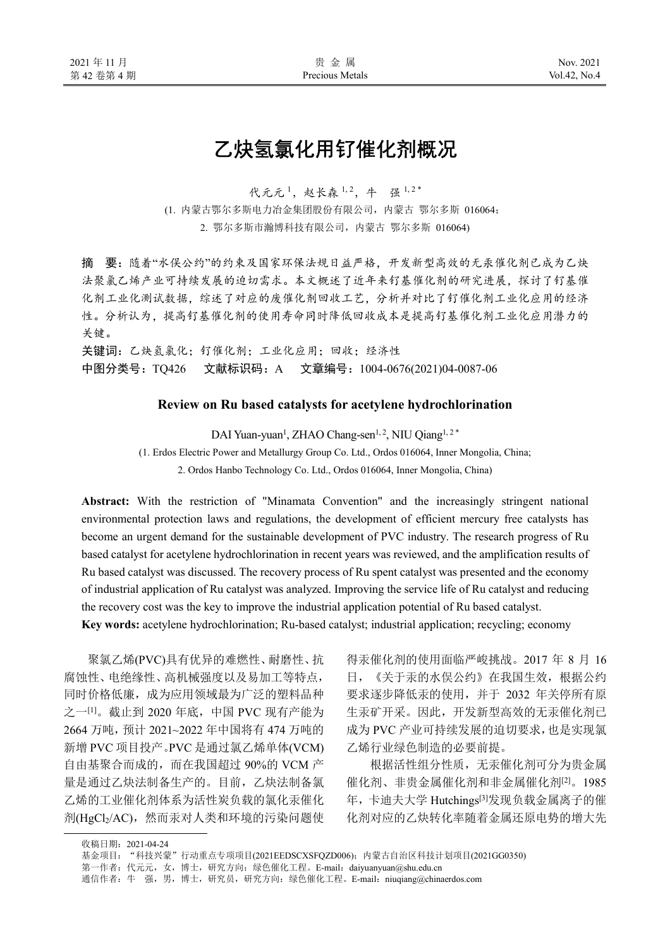# 乙炔氢氯化用钌催化剂概况

代元元1, 赵长森 1,2, 牛 强 1,2\*

(1. 内蒙古鄂尔多斯电力冶金集团股份有限公司,内蒙古 鄂尔多斯 016064;

2. 鄂尔多斯市瀚博科技有限公司,内蒙古 鄂尔多斯 016064)

摘 要:随着"水俣公约"的约束及国家环保法规日益严格,开发新型高效的无汞催化剂已成为乙炔 法聚氯乙烯产业可持续发展的迫切需求。本文概述了近年来钌基催化剂的研究进展,探讨了钌基催 化剂工业化测试数据,综述了对应的废催化剂回收工艺,分析并对比了钌催化剂工业化应用的经济 性。分析认为,提高钌基催化剂的使用寿命同时降低回收成本是提高钌基催化剂工业化应用潜力的 关键。

关键词:乙炔氢氯化;钌催化剂;工业化应用;回收;经济性 中图分类号:TQ426 文献标识码:A 文章编号:1004-0676(2021)04-0087-06

## **Review on Ru based catalysts for acetylene hydrochlorination**

DAI Yuan-yuan<sup>1</sup>, ZHAO Chang-sen<sup>1, 2</sup>, NIU Qiang<sup>1, 2\*</sup>

(1. Erdos Electric Power and Metallurgy Group Co. Ltd., Ordos 016064, Inner Mongolia, China;

2. Ordos Hanbo Technology Co. Ltd., Ordos 016064, Inner Mongolia, China)

**Abstract:** With the restriction of "Minamata Convention" and the increasingly stringent national environmental protection laws and regulations, the development of efficient mercury free catalysts has become an urgent demand for the sustainable development of PVC industry. The research progress of Ru based catalyst for acetylene hydrochlorination in recent years was reviewed, and the amplification results of Ru based catalyst was discussed. The recovery process of Ru spent catalyst was presented and the economy of industrial application of Ru catalyst was analyzed. Improving the service life of Ru catalyst and reducing the recovery cost was the key to improve the industrial application potential of Ru based catalyst.

**Key words:** acetylene hydrochlorination; Ru-based catalyst; industrial application; recycling; economy

聚氯乙烯(PVC)具有优异的难燃性、耐磨性、抗 腐蚀性、电绝缘性、高机械强度以及易加工等特点, 同时价格低廉,成为应用领域最为广泛的塑料品种 之一[1]。截止到 2020 年底, 中国 PVC 现有产能为 2664 万吨,预计 2021~2022 年中国将有 474 万吨的 新增 PVC 项目投产。PVC 是通过氯乙烯单体(VCM) 自由基聚合而成的,而在我国超过 90%的 VCM 产 量是通过乙炔法制备生产的。目前,乙炔法制备氯 乙烯的工业催化剂体系为活性炭负载的氯化汞催化 剂(HgCl2/AC), 然而汞对人类和环境的污染问题使 得汞催化剂的使用面临严峻挑战。2017 年 8 月 16 日,《关于汞的水俣公约》在我国生效,根据公约 要求逐步降低汞的使用,并于 2032 年关停所有原 生汞矿开采。因此,开发新型高效的无汞催化剂已 成为 PVC 产业可持续发展的迫切要求,也是实现氯 乙烯行业绿色制造的必要前提。

根据活性组分性质,无汞催化剂可分为贵金属 催化剂、非贵金属催化剂和非金属催化剂[2]。1985 年,卡迪夫大学 Hutchings[3]发现负载金属离子的催 化剂对应的乙炔转化率随着金属还原电势的增大先

收稿日期:2021-04-24

基金项目: "科技兴蒙"行动重点专项项目(2021EEDSCXSFQZD006); 内蒙古自治区科技计划项目(2021GG0350)

第一作者: 代元元, 女, 博士, 研究方向: 绿色催化工程。E-mail: daiyuanyuan@shu.edu.cn

通信作者: 牛 强, 男, 博士, 研究员, 研究方向: 绿色催化工程。E-mail: niuqiang@chinaerdos.com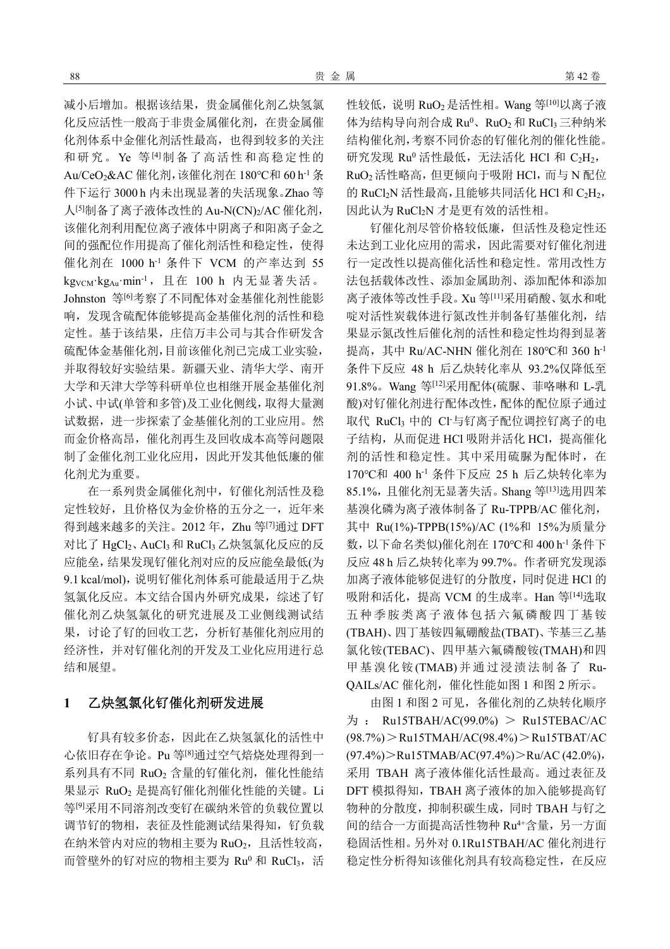减小后增加。根据该结果,贵金属催化剂乙炔氢氯 化反应活性一般高于非贵金属催化剂,在贵金属催 化剂体系中金催化剂活性最高,也得到较多的关注 和研究。Ye 等[4]制备了高活性和高稳定性的 Au/CeO2&AC 催化剂,该催化剂在 180℃和 60 h-1条 件下运行 3000 h 内未出现显著的失活现象。Zhao 等 人[5]制备了离子液体改性的 Au-N(CN)2/AC 催化剂, 该催化剂利用配位离子液体中阴离子和阳离子金之 间的强配位作用提高了催化剂活性和稳定性,使得 催化剂在 1000 h-1 条件下 VCM 的产率达到 55 kg<sub>VCM</sub>·kg<sub>Au</sub>·min<sup>-1</sup>, 且在 100 h 内无显著失活。 Johnston 等<sup>[6]</sup>考察了不同配体对金基催化剂性能影 响,发现含硫配体能够提高金基催化剂的活性和稳 定性。基于该结果,庄信万丰公司与其合作研发含 硫配体金基催化剂,目前该催化剂已完成工业实验, 并取得较好实验结果。新疆天业、清华大学、南开 大学和天津大学等科研单位也相继开展金基催化剂 小试、中试(单管和多管)及工业化侧线,取得大量测 试数据,进一步探索了金基催化剂的工业应用。然 而金价格高昂,催化剂再生及回收成本高等问题限 制了金催化剂工业化应用,因此开发其他低廉的催 化剂尤为重要。

在一系列贵金属催化剂中,钌催化剂活性及稳 定性较好,且价格仅为金价格的五分之一,近年来 得到越来越多的关注。2012年, Zhu 等[7]通过 DFT 对比了 HgCl2、AuCl3 和 RuCl3 乙炔氢氯化反应的反 应能垒,结果发现钌催化剂对应的反应能垒最低(为 9.1 kcal/mol), 说明钌催化剂体系可能最适用于乙炔 氢氯化反应。本文结合国内外研究成果,综述了钌 催化剂乙炔氢氯化的研究进展及工业侧线测试结 果,讨论了钌的回收工艺,分析钌基催化剂应用的 经济性,并对钌催化剂的开发及工业化应用进行总 结和展望。

# **1** 乙炔氢氯化钌催化剂研发进展

钌具有较多价态,因此在乙炔氢氯化的活性中 心依旧存在争论。Pu 等[8]通过空气焙烧处理得到一 系列具有不同 RuO<sub>2</sub> 含量的钌催化剂,催化性能结 果显示 RuO<sup>2</sup> 是提高钌催化剂催化性能的关键。Li 等[9]采用不同溶剂改变钌在碳纳米管的负载位置以 调节钌的物相,表征及性能测试结果得知,钌负载 在纳米管内对应的物相主要为 RuO2, 且活性较高, 而管壁外的钌对应的物相主要为 Ru<sup>0</sup> 和 RuCl3, 活 性较低, 说明 RuO<sub>2</sub> 是活性相。Wang 等<sup>[10]</sup>以离子液 体为结构导向剂合成  $Ru^0$ 、 $RuO_2$ 和 $RuCl_3$ 三种纳米 结构催化剂,考察不同价态的钌催化剂的催化性能。 研究发现  $Ru^0$  活性最低, 无法活化 HCl 和  $C_2H_2$ , RuO<sup>2</sup> 活性略高,但更倾向于吸附 HCl,而与 N 配位 的 RuCl<sub>2</sub>N 活性最高,且能够共同活化 HCl 和 C<sub>2</sub>H<sub>2</sub>, 因此认为 RuCl2N 才是更有效的活性相。

钌催化剂尽管价格较低廉,但活性及稳定性还 未达到工业化应用的需求,因此需要对钌催化剂进 行一定改性以提高催化活性和稳定性。常用改性方 法包括载体改性、添加金属助剂、添加配体和添加 离子液体等改性手段。Xu 等[11]采用硝酸、氨水和吡 啶对活性炭载体进行氮改性并制备钌基催化剂,结 果显示氮改性后催化剂的活性和稳定性均得到显著 提高, 其中 Ru/AC-NHN 催化剂在 180℃和 360 h<sup>-1</sup> 条件下反应 48 h 后乙炔转化率从 93.2%仅降低至 91.8%。Wang 等[12]采用配体(硫脲、菲咯啉和 L-乳 酸)对钌催化剂进行配体改性,配体的配位原子通过 取代 RuCl3 中的 Cl-与钌离子配位调控钌离子的电 子结构,从而促进 HCl 吸附并活化 HCl, 提高催化 剂的活性和稳定性。其中采用硫脲为配体时,在 170℃和 400 h-1 条件下反应 25 h 后乙炔转化率为 85.1%,且催化剂无显著失活。Shang 等[13]选用四苯 基溴化磷为离子液体制备了 Ru-TPPB/AC 催化剂, 其中 Ru(1%)-TPPB(15%)/AC (1%和 15%为质量分 数,以下命名类似)催化剂在 170℃和 400 h-1 条件下 反应 48 h 后乙炔转化率为 99.7%。作者研究发现添 加离子液体能够促进钌的分散度,同时促进 HCl 的 吸附和活化, 提高 VCM 的生成率。Han 等[14]选取 五种季胺类离子液体包括六氟磷酸四丁基铵 (TBAH)、四丁基铵四氟硼酸盐(TBAT)、苄基三乙基 氯化铵(TEBAC)、四甲基六氟磷酸铵(TMAH)和四 甲基溴化铵(TMAB)并通过浸渍法制备了 Ru-QAILs/AC 催化剂,催化性能如图 1 和图 2 所示。

由图 1 和图 2 可见,各催化剂的乙炔转化顺序  $\frac{1}{2}$ : Ru15TBAH/AC(99.0%) > Ru15TEBAC/AC (98.7%)>Ru15TMAH/AC(98.4%)>Ru15TBAT/AC (97.4%)>Ru15TMAB/AC(97.4%)>Ru/AC (42.0%), 采用 TBAH 离子液体催化活性最高。通过表征及 DFT 模拟得知,TBAH 离子液体的加入能够提高钌 物种的分散度,抑制积碳生成,同时 TBAH 与钌之 间的结合一方面提高活性物种 Ru4+含量,另一方面 稳固活性相。另外对 0.1Ru15TBAH/AC 催化剂进行 稳定性分析得知该催化剂具有较高稳定性,在反应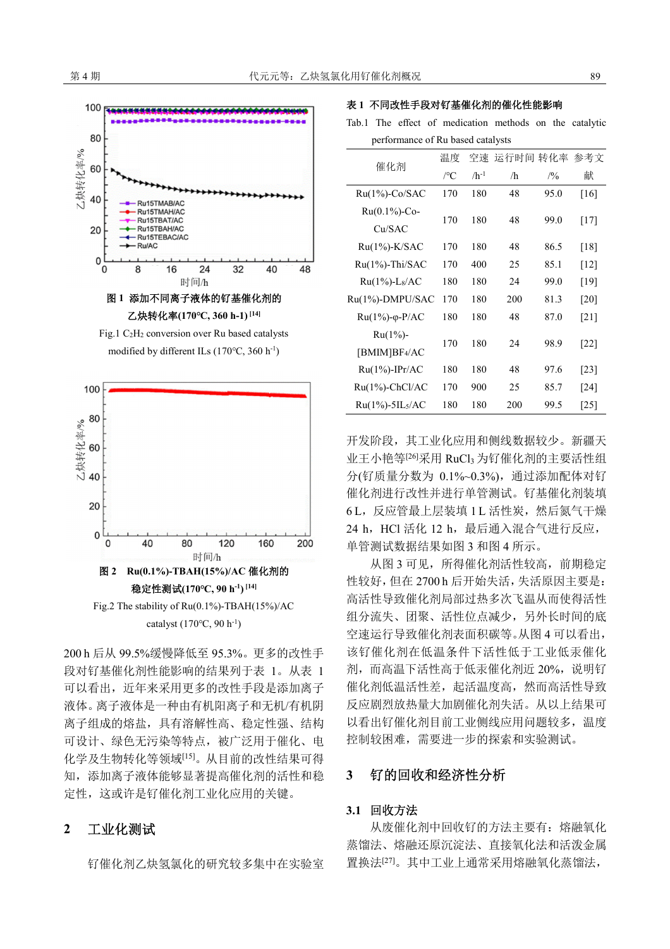

乙炔转化率**(170℃, 360 h-1) [14]** 

Fig.1 C2H2 conversion over Ru based catalysts modified by different ILs (170℃, 360 h-1)



200 h 后从 99.5%缓慢降低至 95.3%。更多的改性手 段对钌基催化剂性能影响的结果列于表 1。从表 1 可以看出,近年来采用更多的改性手段是添加离子 液体。离子液体是一种由有机阳离子和无机/有机阴 离子组成的熔盐,具有溶解性高、稳定性强、结构 可设计、绿色无污染等特点,被广泛用于催化、电 化学及生物转化等领域[15]。从目前的改性结果可得 知,添加离子液体能够显著提高催化剂的活性和稳 定性,这或许是钌催化剂工业化应用的关键。

# **2** 工业化测试

钌催化剂乙炔氢氯化的研究较多集中在实验室

#### 表 **1** 不同改性手段对钌基催化剂的催化性能影响

Tab.1 The effect of medication methods on the catalytic performance of Ru based catalysts

| 催化剂                         | 温度                    | 空速        | 运行时间 转化率 |      | 参考文                |
|-----------------------------|-----------------------|-----------|----------|------|--------------------|
|                             | $\rm ^{\prime\circ}C$ | $/h^{-1}$ | /h       | /9/0 | 献                  |
| $Ru(1\%)$ -Co/SAC           | 170                   | 180       | 48       | 95.0 | [16]               |
| $Ru(0.1\%)$ -Co-<br>Cu/SAC  | 170                   | 180       | 48       | 99.0 | $[17]$             |
| $Ru(1\%)$ -K/SAC            | 170                   | 180       | 48       | 86.5 | [18]               |
| $Ru(1\%)$ -Thi/SAC          | 170                   | 400       | 25       | 85.1 | $\lceil 12 \rceil$ |
| Ru(1%)-L <sub>8</sub> /AC   | 180                   | 180       | 24       | 99.0 | [19]               |
| Ru(1%)-DMPU/SAC             | 170                   | 180       | 200      | 81.3 | [20]               |
| $Ru(1\%)$ - $\varphi$ -P/AC | 180                   | 180       | 48       | 87.0 | $\lceil 21 \rceil$ |
| $Ru(1\%)$ -<br>[BMIM]BF4/AC | 170                   | 180       | 24       | 98.9 | [22]               |
| $Ru(1\%)-IPr/AC$            | 180                   | 180       | 48       | 97.6 | [23]               |
| $Ru(1\%)$ -ChCl/AC          | 170                   | 900       | 25       | 85.7 | [24]               |
| $Ru(1\%) - 5IL5/AC$         | 180                   | 180       | 200      | 99.5 | [25]               |

开发阶段,其工业化应用和侧线数据较少。新疆天 业王小艳等<sup>[26]</sup>采用 RuCl3 为钌催化剂的主要活性组 分(钌质量分数为 0.1%~0.3%),通过添加配体对钌 催化剂进行改性并进行单管测试。钌基催化剂装填 6L, 反应管最上层装填 1 L 活性炭, 然后氮气干燥 24 h, HCl 活化 12 h, 最后通入混合气进行反应, 单管测试数据结果如图 3 和图 4 所示。

从图 3 可见, 所得催化剂活性较高, 前期稳定 性较好,但在 2700 h 后开始失活,失活原因主要是: 高活性导致催化剂局部过热多次飞温从而使得活性 组分流失、团聚、活性位点减少,另外长时间的底 空速运行导致催化剂表面积碳等。从图 4 可以看出, 该钌催化剂在低温条件下活性低于工业低汞催化 剂,而高温下活性高于低汞催化剂近 20%,说明钌 催化剂低温活性差,起活温度高,然而高活性导致 反应剧烈放热量大加剧催化剂失活。从以上结果可 以看出钌催化剂目前工业侧线应用问题较多,温度 控制较困难,需要进一步的探索和实验测试。

# **3** 钌的回收和经济性分析

## **3.1** 回收方法

从废催化剂中回收钌的方法主要有:熔融氧化 蒸馏法、熔融还原沉淀法、直接氧化法和活泼金属 置换法[27]。其中工业上通常采用熔融氧化蒸馏法,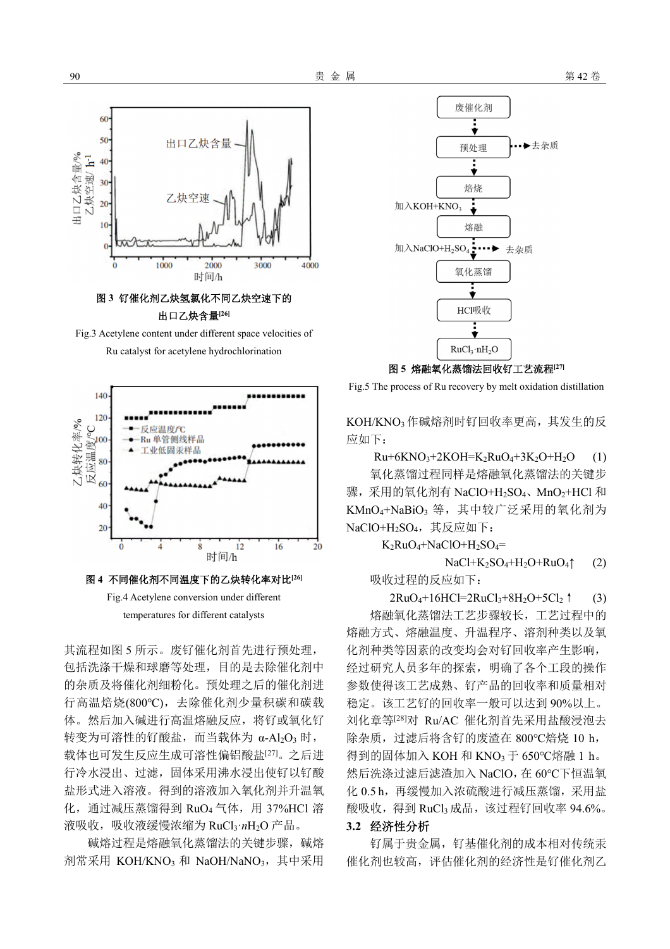

出口乙炔含量**[26]** 

Fig.3 Acetylene content under different space velocities of Ru catalyst for acetylene hydrochlorination





其流程如图 5 所示。废钌催化剂首先进行预处理, 包括洗涤干燥和球磨等处理,目的是去除催化剂中 的杂质及将催化剂细粉化。预处理之后的催化剂进 行高温焙烧(800℃),去除催化剂少量积碳和碳载 体。然后加入碱进行高温熔融反应,将钌或氧化钌 转变为可溶性的钌酸盐,而当载体为 α-Al<sub>2</sub>O<sub>3</sub> 时, 载体也可发生反应生成可溶性偏铝酸盐[27]。之后进 行冷水浸出、过滤,固体采用沸水浸出使钌以钌酸 盐形式进入溶液。得到的溶液加入氧化剂并升温氧 化, 通过减压蒸馏得到 RuO<sub>4</sub> 气体, 用 37%HCl 溶 液吸收,吸收液缓慢浓缩为 RuCl<sub>3</sub>·nH<sub>2</sub>O 产品。

碱熔过程是熔融氧化蒸馏法的关键步骤,碱熔 剂常采用 KOH/KNO<sub>3</sub> 和 NaOH/NaNO<sub>3</sub>, 其中采用



图 **5** 熔融氧化蒸馏法回收钌工艺流程**[27]** 

Fig.5 The process of Ru recovery by melt oxidation distillation

KOH/KNO<sup>3</sup> 作碱熔剂时钌回收率更高,其发生的反 应如下:

 $Ru+6KNO<sub>3</sub>+2KOH=K<sub>2</sub>RuO<sub>4</sub>+3K<sub>2</sub>O+H<sub>2</sub>O (1)$ 

氧化蒸馏过程同样是熔融氧化蒸馏法的关键步 骤,采用的氧化剂有 NaClO+H<sub>2</sub>SO<sub>4</sub>、MnO<sub>2</sub>+HCl 和 KMnO<sub>4</sub>+NaBiO<sub>3</sub> 等, 其中较广泛采用的氧化剂为 NaClO+H<sub>2</sub>SO<sub>4</sub>, 其反应如下:

 $K_2RuO_4+NaClO+H_2SO_4=$ 

 $NaCl+K_2SO_4+H_2O+RuO_4\uparrow$  (2)

吸收过程的反应如下:

 $2RuO_4+16HC=2RuCl_3+8H_2O+5Cl_2$  (3)

熔融氧化蒸馏法工艺步骤较长,工艺过程中的 熔融方式、熔融温度、升温程序、溶剂种类以及氧 化剂种类等因素的改变均会对钌回收率产生影响, 经过研究人员多年的探索,明确了各个工段的操作 参数使得该工艺成熟、钌产品的回收率和质量相对 稳定。该工艺钌的回收率一般可以达到 90%以上。 刘化章等[28]对 Ru/AC 催化剂首先采用盐酸浸泡去 除杂质,过滤后将含钌的废渣在 800℃焙烧 10 h, 得到的固体加入 KOH 和 KNO<sup>3</sup> 于 650℃熔融 1 h。 然后洗涤过滤后滤渣加入 NaClO,在 60℃下恒温氧 化 0.5 h, 再缓慢加入浓硫酸进行减压蒸馏, 采用盐 酸吸收,得到 RuCl3成品,该过程钌回收率 94.6%。

### **3.2** 经济性分析

钌属于贵金属,钌基催化剂的成本相对传统汞 催化剂也较高,评估催化剂的经济性是钌催化剂乙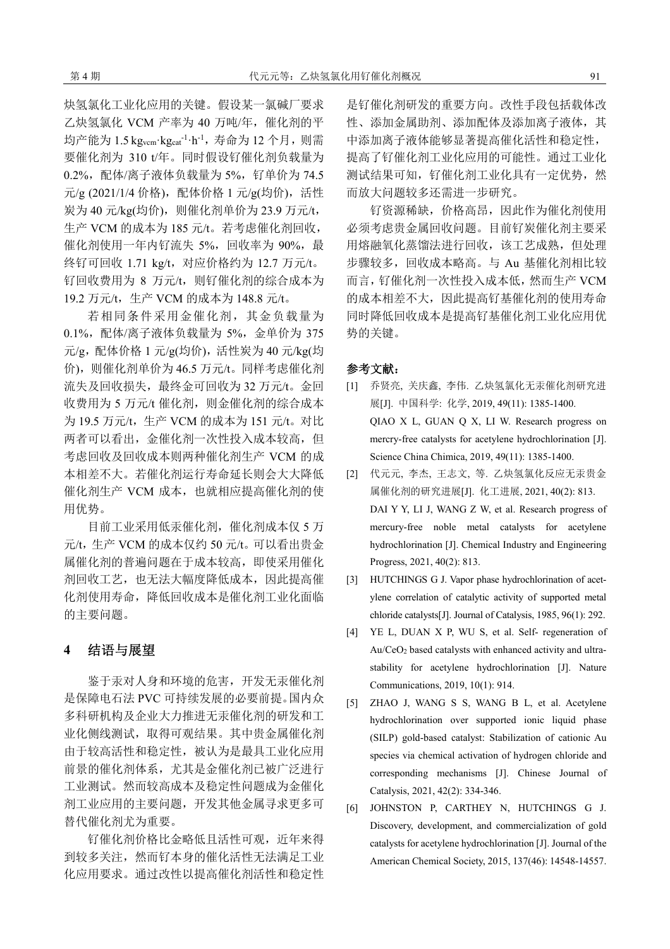炔氢氯化工业化应用的关键。假设某一氯碱厂要求 乙炔氢氯化 VCM 产率为 40 万吨/年,催化剂的平 均产能为 1.5 kg<sub>vcm</sub>·kg<sub>cat</sub>-1·h<sup>-1</sup>,寿命为 12 个月,则需 要催化剂为 310 t/年。同时假设钌催化剂负载量为 0.2%,配体/离子液体负载量为 5%,钌单价为 74.5 元/g (2021/1/4 价格), 配体价格 1 元/g(均价), 活性 炭为 40 元/kg(均价), 则催化剂单价为 23.9 万元/t, 生产 VCM 的成本为 185 元/t。若考虑催化剂回收, 催化剂使用一年内钌流失 5%, 回收率为 90%, 最 终钌可回收 1.71 kg/t, 对应价格约为 12.7 万元/t。 钌回收费用为 8 万元/t, 则钌催化剂的综合成本为 19.2 万元/t,生产 VCM 的成本为 148.8 元/t。

若相同条件采用金催化剂,其金负载量为 0.1%,配体/离子液体负载量为 5%,金单价为 375 元/g,配体价格  $1 \overline{\pi}/g$ (均价),活性炭为 40元/kg(均 价),则催化剂单价为 46.5 万元/t。同样考虑催化剂 流失及回收损失,最终金可回收为 32 万元/t。金回 收费用为 5 万元/t 催化剂, 则金催化剂的综合成本 为 19.5 万元/t, 生产 VCM 的成本为 151 元/t。对比 两者可以看出, 金催化剂一次性投入成本较高, 但 考虑回收及回收成本则两种催化剂生产 VCM 的成 本相差不大。若催化剂运行寿命延长则会大大降低 催化剂生产 VCM 成本,也就相应提高催化剂的使 用优势。

目前工业采用低汞催化剂,催化剂成本仅 5 万 元/t,生产 VCM 的成本仅约 50 元/t。可以看出贵金 属催化剂的普遍问题在于成本较高,即使采用催化 剂回收工艺,也无法大幅度降低成本,因此提高催 化剂使用寿命,降低回收成本是催化剂工业化面临 的主要问题。

# **4** 结语与展望

鉴于汞对人身和环境的危害,开发无汞催化剂 是保障电石法 PVC 可持续发展的必要前提。国内众 多科研机构及企业大力推进无汞催化剂的研发和工 业化侧线测试,取得可观结果。其中贵金属催化剂 由于较高活性和稳定性,被认为是最具工业化应用 前景的催化剂体系,尤其是金催化剂已被广泛进行 工业测试。然而较高成本及稳定性问题成为金催化 剂工业应用的主要问题,开发其他金属寻求更多可 替代催化剂尤为重要。

钌催化剂价格比金略低且活性可观,近年来得 到较多关注,然而钌本身的催化活性无法满足工业 化应用要求。通过改性以提高催化剂活性和稳定性

是钌催化剂研发的重要方向。改性手段包括载体改 性、添加金属助剂、添加配体及添加离子液体,其 中添加离子液体能够显著提高催化活性和稳定性, 提高了钌催化剂工业化应用的可能性。通过工业化 测试结果可知, 钌催化剂工业化具有一定优势, 然 而放大问题较多还需进一步研究。

钌资源稀缺,价格高昂,因此作为催化剂使用 必须考虑贵金属回收问题。目前钌炭催化剂主要采 用熔融氧化蒸馏法进行回收,该工艺成熟,但处理 步骤较多,回收成本略高。与 Au 基催化剂相比较 而言,钌催化剂一次性投入成本低,然而生产 VCM 的成本相差不大,因此提高钌基催化剂的使用寿命 同时降低回收成本是提高钌基催化剂工业化应用优 势的关键。

#### 参考文献:

- [1] 乔贤亮, 关庆鑫, 李伟. 乙炔氢氯化无汞催化剂研究进 展[J]. 中国科学: 化学, 2019, 49(11): 1385-1400. QIAO X L, GUAN Q X, LI W. Research progress on mercry-free catalysts for acetylene hydrochlorination [J]. Science China Chimica, 2019, 49(11): 1385-1400.
- [2] 代元元, 李杰, 王志文, 等. 乙炔氢氯化反应无汞贵金 属催化剂的研究进展[J]. 化工进展, 2021, 40(2): 813. DAI Y Y, LI J, WANG Z W, et al. Research progress of mercury-free noble metal catalysts for acetylene hydrochlorination [J]. Chemical Industry and Engineering Progress, 2021, 40(2): 813.
- [3] HUTCHINGS G J. Vapor phase hydrochlorination of acetylene correlation of catalytic activity of supported metal chloride catalysts[J]. Journal of Catalysis, 1985, 96(1): 292.
- [4] YE L, DUAN X P, WU S, et al. Self- regeneration of Au/CeO2 based catalysts with enhanced activity and ultrastability for acetylene hydrochlorination [J]. Nature Communications, 2019, 10(1): 914.
- [5] ZHAO J, WANG S S, WANG B L, et al. Acetylene hydrochlorination over supported ionic liquid phase (SILP) gold-based catalyst: Stabilization of cationic Au species via chemical activation of hydrogen chloride and corresponding mechanisms [J]. Chinese Journal of Catalysis, 2021, 42(2): 334-346.
- [6] JOHNSTON P, CARTHEY N, HUTCHINGS G J. Discovery, development, and commercialization of gold catalysts for acetylene hydrochlorination [J]. Journal of the American Chemical Society, 2015, 137(46): 14548-14557.